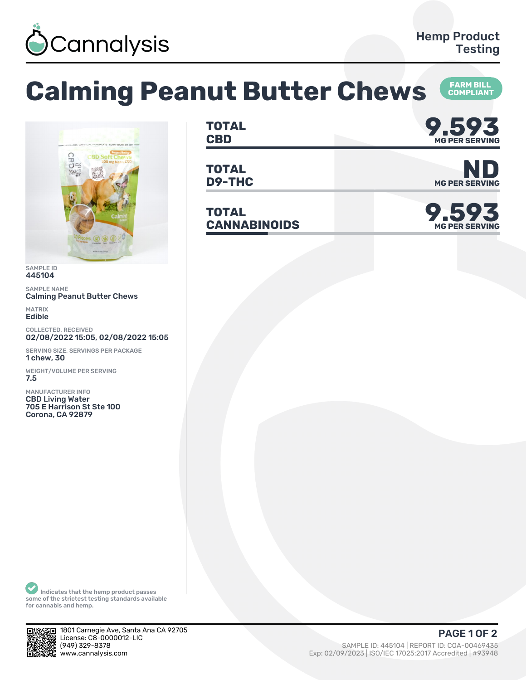

## **Calming Peanut Butter Chews <b>FARM BILL COMPLIANT**



SAMPLE ID 445104

SAMPLE NAME Calming Peanut Butter Chews

MATRIX Edible

COLLECTED, RECEIVED 02/08/2022 15:05, 02/08/2022 15:05

SERVING SIZE, SERVINGS PER PACKAGE 1 chew, 30

WEIGHT/VOLUME PER SERVING 7.5

MANUFACTURER INFO CBD Living Water 705 E Harrison St Ste 100 Corona, CA 92879

**TOTAL** TOTAL **9.593 MG PER SERVING**

**TOTAL**

**TOTAL CANNABINOIDS 9.593**



**D9-THC** MG PER SERVING



Indicates that the hemp product passes some of the strictest testing standards available for cannabis and hemp.



1801 Carnegie Ave, Santa Ana CA 92705 License: C8-0000012-LIC<br>(949) 329-8378